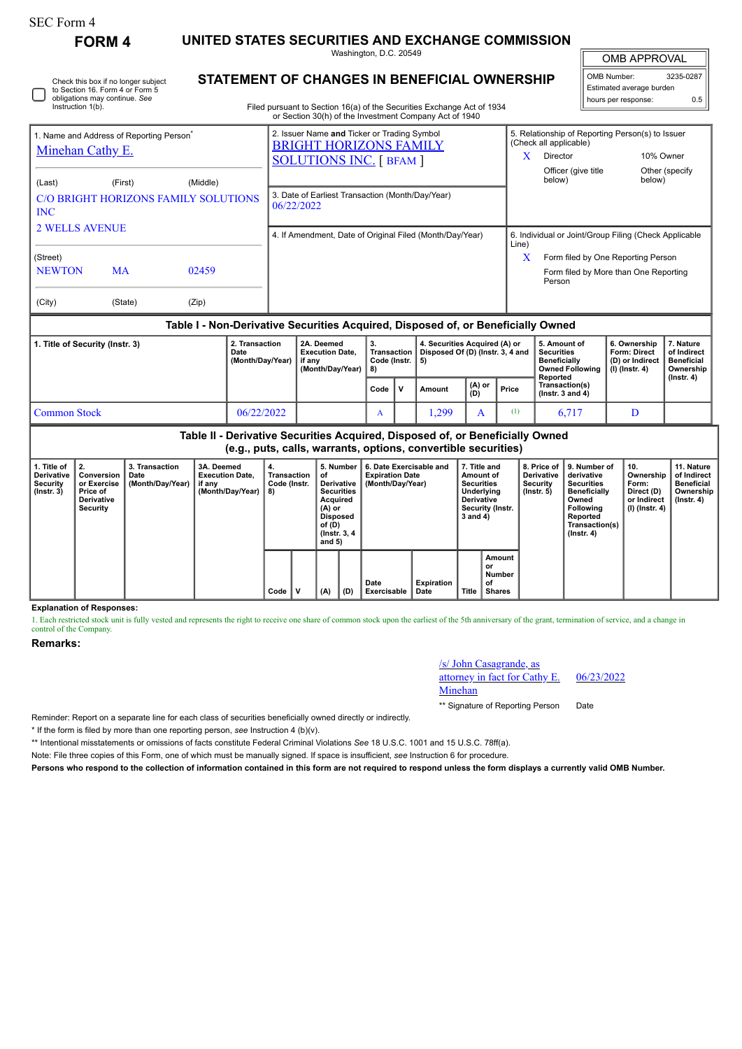Instruction 1(b).

Check this box if no longer subject to Section 16. Form 4 or Form 5 obligations may continue. *See*

**FORM 4 UNITED STATES SECURITIES AND EXCHANGE COMMISSION** Washington, D.C. 20549

**STATEMENT OF CHANGES IN BENEFICIAL OWNERSHIP**

OMB APPROVAL

| OMB Number:              | 3235-0287 |  |  |  |  |  |  |  |  |
|--------------------------|-----------|--|--|--|--|--|--|--|--|
| Estimated average burden |           |  |  |  |  |  |  |  |  |
| hours per response:      | ስ 5       |  |  |  |  |  |  |  |  |

 $\mathbb{F}$ 

| Filed pursuant to Section 16(a) of the Securities Exchange Act of 1934 |  |
|------------------------------------------------------------------------|--|
| or Section 30(h) of the Investment Company Act of 1940                 |  |

| 1. Name and Address of Reporting Person <sup>®</sup><br><b>Minehan Cathy E.</b> |           |                                                                                  | 2. Issuer Name and Ticker or Trading Symbol<br><b>BRIGHT HORIZONS FAMILY</b> | 5. Relationship of Reporting Person(s) to Issuer<br>(Check all applicable) |  |  |  |  |  |  |  |  |
|---------------------------------------------------------------------------------|-----------|----------------------------------------------------------------------------------|------------------------------------------------------------------------------|----------------------------------------------------------------------------|--|--|--|--|--|--|--|--|
|                                                                                 |           |                                                                                  | <b>SOLUTIONS INC.</b> [ BFAM ]                                               | X<br>Director<br>10% Owner                                                 |  |  |  |  |  |  |  |  |
| (Last)                                                                          | (First)   | (Middle)                                                                         |                                                                              | Officer (give title<br>Other (specify)<br>below)<br>below)                 |  |  |  |  |  |  |  |  |
| <b>INC</b>                                                                      |           | C/O BRIGHT HORIZONS FAMILY SOLUTIONS                                             | 3. Date of Earliest Transaction (Month/Day/Year)<br>06/22/2022               |                                                                            |  |  |  |  |  |  |  |  |
| <b>2 WELLS AVENUE</b>                                                           |           |                                                                                  | 4. If Amendment, Date of Original Filed (Month/Day/Year)                     | 6. Individual or Joint/Group Filing (Check Applicable<br>Line)             |  |  |  |  |  |  |  |  |
| (Street)                                                                        |           |                                                                                  |                                                                              | x<br>Form filed by One Reporting Person                                    |  |  |  |  |  |  |  |  |
| <b>NEWTON</b>                                                                   | <b>MA</b> | 02459                                                                            |                                                                              | Form filed by More than One Reporting<br>Person                            |  |  |  |  |  |  |  |  |
| (City)                                                                          | (State)   | (Zip)                                                                            |                                                                              |                                                                            |  |  |  |  |  |  |  |  |
|                                                                                 |           | Table I - Non-Derivative Securities Acquired, Disposed of, or Beneficially Owned |                                                                              |                                                                            |  |  |  |  |  |  |  |  |

| . Title of Security (Instr. 3) | 2. Transaction<br>Date<br>(Month/Day/Year) | 2A. Deemed<br><b>Execution Date.</b><br>if anv<br>(Month/Dav/Year) | З.<br>  Transaction '<br>Code (Instr.  <br>I 8) |     | 4. Securities Acquired (A) or<br>Disposed Of (D) (Instr. 3, 4 and |               |                  | 5. Amount of<br><b>Securities</b><br><b>Beneficially</b><br>Owned Following   (I) (Instr. 4)<br>Reported | 6. Ownership<br><b>Form: Direct</b><br>(D) or Indirect | ∴ Nature<br>of Indirect<br><b>Beneficial</b><br>Ownership<br>$($ lnstr. 4 $)$ |  |
|--------------------------------|--------------------------------------------|--------------------------------------------------------------------|-------------------------------------------------|-----|-------------------------------------------------------------------|---------------|------------------|----------------------------------------------------------------------------------------------------------|--------------------------------------------------------|-------------------------------------------------------------------------------|--|
|                                |                                            |                                                                    | Code                                            | l v | Amount                                                            | (A) or<br>(D) | Price            | Transaction(s)<br>( $lnstr.$ 3 and 4)                                                                    |                                                        |                                                                               |  |
| Common Stock                   | 06/22/2022                                 |                                                                    | A                                               |     | .299                                                              |               | $\left(1\right)$ | 6.717                                                                                                    |                                                        |                                                                               |  |

**Table II - Derivative Securities Acquired, Disposed of, or Beneficially Owned (e.g., puts, calls, warrants, options, convertible securities)**

| . Title of<br>Derivative<br>Security<br>(Instr. 3) | -2.<br>Conversion<br>or Exercise<br>Price of<br><b>Derivative</b><br>Security | 3. Transaction<br>Date<br>(Month/Day/Year) | 3A. Deemed<br><b>Execution Date,</b><br>if any<br>(Month/Day/Year) | 4.<br>Transaction<br>Code (Instr.<br>8) |   | 5. Number<br>оf<br>Derivative<br><b>Securities</b><br>Acquired<br>(A) or<br><b>Disposed</b><br>of (D)<br>(Instr. 3, 4)<br>and 5) |     | 6. Date Exercisable and<br><b>Expiration Date</b><br>(Month/Day/Year) |                    | 7. Title and<br>Amount of<br><b>Securities</b><br>Underlying<br><b>Derivative</b><br>Security (Instr.<br>$3$ and $4$ ) |                                               | 8. Price of<br><b>Derivative</b><br>Security<br>$($ lnstr. 5 $)$ | 9. Number of<br>derivative<br><b>Securities</b><br><b>Beneficially</b><br>Owned<br>Following<br>Reported<br>Transaction(s)<br>$($ Instr. 4 $)$ | 10.<br>Ownership<br>Form:<br>Direct (D)<br>or Indirect<br>(I) (Instr. 4) | 11. Nature<br>of Indirect<br><b>Beneficial</b><br>Ownership<br>(Instr. 4) |
|----------------------------------------------------|-------------------------------------------------------------------------------|--------------------------------------------|--------------------------------------------------------------------|-----------------------------------------|---|----------------------------------------------------------------------------------------------------------------------------------|-----|-----------------------------------------------------------------------|--------------------|------------------------------------------------------------------------------------------------------------------------|-----------------------------------------------|------------------------------------------------------------------|------------------------------------------------------------------------------------------------------------------------------------------------|--------------------------------------------------------------------------|---------------------------------------------------------------------------|
|                                                    |                                                                               |                                            |                                                                    | Code                                    | N | (A)                                                                                                                              | (D) | Date<br>Exercisable                                                   | Expiration<br>Date | Title                                                                                                                  | Amount<br>or<br>Number<br>of<br><b>Shares</b> |                                                                  |                                                                                                                                                |                                                                          |                                                                           |

**Explanation of Responses:**

1. Each restricted stock unit is fully vested and represents the right to receive one share of common stock upon the earliest of the 5th anniversary of the grant, termination of service, and a change in control of the Company.

**Remarks:**

/s/ John Casagrande, as

attorney in fact for Cathy E. Minehan

06/23/2022

\*\* Signature of Reporting Person Date

Reminder: Report on a separate line for each class of securities beneficially owned directly or indirectly.

\* If the form is filed by more than one reporting person, *see* Instruction 4 (b)(v).

\*\* Intentional misstatements or omissions of facts constitute Federal Criminal Violations *See* 18 U.S.C. 1001 and 15 U.S.C. 78ff(a).

Note: File three copies of this Form, one of which must be manually signed. If space is insufficient, *see* Instruction 6 for procedure.

**Persons who respond to the collection of information contained in this form are not required to respond unless the form displays a currently valid OMB Number.**